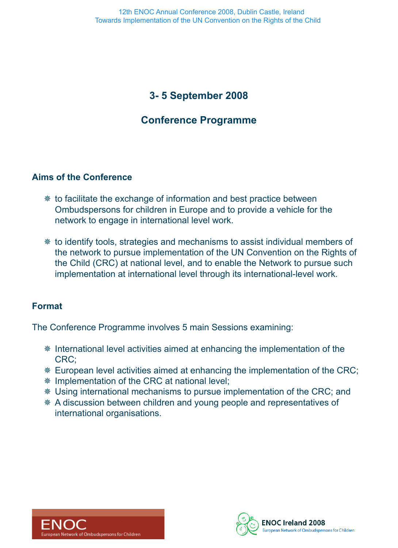# **3- 5 September 2008**

# **Conference Programme**

### **Aims of the Conference**

- $*$  to facilitate the exchange of information and best practice between Ombudspersons for children in Europe and to provide a vehicle for the network to engage in international level work.
- <sup>≢</sup> to identify tools, strategies and mechanisms to assist individual members of the network to pursue implementation of the UN Convention on the Rights of the Child (CRC) at national level, and to enable the Network to pursue such implementation at international level through its international-level work.

### **Format**

The Conference Programme involves 5 main Sessions examining:

- **EXA** International level activities aimed at enhancing the implementation of the CRC;
- **European level activities aimed at enhancing the implementation of the CRC;**
- <sup>≢</sup> Implementation of the CRC at national level;
- **EXECT:** Using international mechanisms to pursue implementation of the CRC; and
- \* A discussion between children and young people and representatives of international organisations.



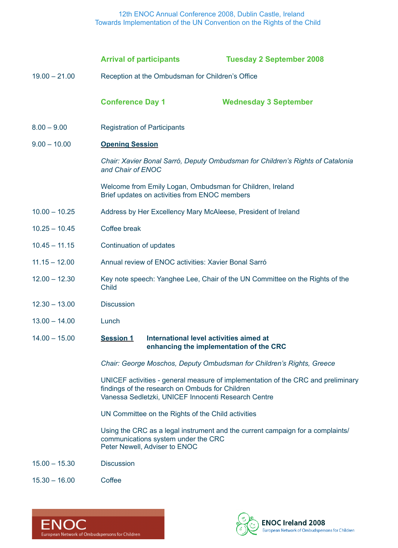12th ENOC Annual Conference 2008, Dublin Castle, Ireland Towards Implementation of the UN Convention on the Rights of the Child

|                 | <b>Arrival of participants</b>                                                                                                                                                             | <b>Tuesday 2 September 2008</b>         |  |  |  |
|-----------------|--------------------------------------------------------------------------------------------------------------------------------------------------------------------------------------------|-----------------------------------------|--|--|--|
| $19.00 - 21.00$ | Reception at the Ombudsman for Children's Office                                                                                                                                           |                                         |  |  |  |
|                 | <b>Conference Day 1</b>                                                                                                                                                                    | <b>Wednesday 3 September</b>            |  |  |  |
| $8.00 - 9.00$   | <b>Registration of Participants</b>                                                                                                                                                        |                                         |  |  |  |
| $9.00 - 10.00$  | <b>Opening Session</b>                                                                                                                                                                     |                                         |  |  |  |
|                 | Chair: Xavier Bonal Sarró, Deputy Ombudsman for Children's Rights of Catalonia<br>and Chair of ENOC                                                                                        |                                         |  |  |  |
|                 | Welcome from Emily Logan, Ombudsman for Children, Ireland<br>Brief updates on activities from ENOC members                                                                                 |                                         |  |  |  |
| $10.00 - 10.25$ | Address by Her Excellency Mary McAleese, President of Ireland                                                                                                                              |                                         |  |  |  |
| $10.25 - 10.45$ | Coffee break                                                                                                                                                                               |                                         |  |  |  |
| $10.45 - 11.15$ | Continuation of updates                                                                                                                                                                    |                                         |  |  |  |
| $11.15 - 12.00$ | Annual review of ENOC activities: Xavier Bonal Sarró                                                                                                                                       |                                         |  |  |  |
| $12.00 - 12.30$ | Key note speech: Yanghee Lee, Chair of the UN Committee on the Rights of the<br><b>Child</b>                                                                                               |                                         |  |  |  |
| $12.30 - 13.00$ | <b>Discussion</b>                                                                                                                                                                          |                                         |  |  |  |
| $13.00 - 14.00$ | Lunch                                                                                                                                                                                      |                                         |  |  |  |
| $14.00 - 15.00$ | <b>Session 1</b> International level activities aimed at                                                                                                                                   | enhancing the implementation of the CRC |  |  |  |
|                 | Chair: George Moschos, Deputy Ombudsman for Children's Rights, Greece                                                                                                                      |                                         |  |  |  |
|                 | UNICEF activities - general measure of implementation of the CRC and preliminary<br>findings of the research on Ombuds for Children<br>Vanessa Sedletzki, UNICEF Innocenti Research Centre |                                         |  |  |  |
|                 | UN Committee on the Rights of the Child activities                                                                                                                                         |                                         |  |  |  |
|                 | Using the CRC as a legal instrument and the current campaign for a complaints/<br>communications system under the CRC<br>Peter Newell, Adviser to ENOC                                     |                                         |  |  |  |
| $15.00 - 15.30$ | <b>Discussion</b>                                                                                                                                                                          |                                         |  |  |  |
| $15.30 - 16.00$ | Coffee                                                                                                                                                                                     |                                         |  |  |  |



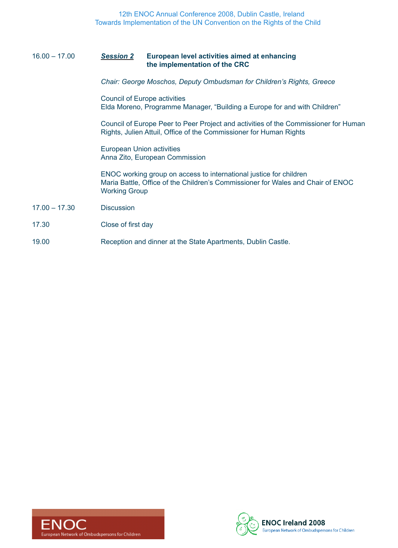#### 16.00 – 17.00 *Session 2* **European level activities aimed at enhancing the implementation of the CRC**

*Chair: George Moschos, Deputy Ombudsman for Children's Rights, Greece*

Council of Europe activities Elda Moreno, Programme Manager, "Building a Europe for and with Children"

Council of Europe Peer to Peer Project and activities of the Commissioner for Human Rights, Julien Attuil, Office of the Commissioner for Human Rights

European Union activities Anna Zito, European Commission

ENOC working group on access to international justice for children Maria Battle, Office of the Children's Commissioner for Wales and Chair of ENOC Working Group

- 17.00 17.30 Discussion
- 17.30 Close of first day
- 19.00 Reception and dinner at the State Apartments, Dublin Castle.



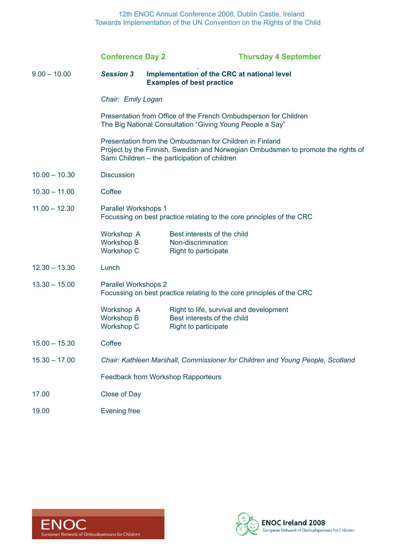12th ENOC Annual Conference 2008, Dublin Castle, Ireland Towards Implementation of the UN Convention on the Rights of the Child

|                 | <b>Conference Day 2</b>                                                                                                                                                                      |                                                                                                       | <b>Thursday 4 September</b> |  |  |
|-----------------|----------------------------------------------------------------------------------------------------------------------------------------------------------------------------------------------|-------------------------------------------------------------------------------------------------------|-----------------------------|--|--|
| $9.00 - 10.00$  | <b>Session 3</b>                                                                                                                                                                             | Implementation of the CRC at national level<br><b>Examples of best practice</b>                       |                             |  |  |
|                 | Chair: Emily Logan                                                                                                                                                                           |                                                                                                       |                             |  |  |
|                 | Presentation from Office of the French Ombudsperson for Children<br>The Big National Consultation "Giving Young People a Say"                                                                |                                                                                                       |                             |  |  |
|                 | Presentation from the Ombudsman for Children in Finland<br>Project by the Finnish, Swedish and Norwegian Ombudsmen to promote the rights of<br>Sami Children - the participation of children |                                                                                                       |                             |  |  |
| $10.00 - 10.30$ | <b>Discussion</b>                                                                                                                                                                            |                                                                                                       |                             |  |  |
| $10.30 - 11.00$ | Coffee                                                                                                                                                                                       |                                                                                                       |                             |  |  |
| $11.00 - 12.30$ | Parallel Workshops 1<br>Focussing on best practice relating to the core principles of the CRC                                                                                                |                                                                                                       |                             |  |  |
|                 | Workshop A<br>Workshop B<br><b>Workshop C</b>                                                                                                                                                | Best interests of the child<br>Non-discrimination<br><b>Right to participate</b>                      |                             |  |  |
| $12.30 - 13.30$ | Lunch                                                                                                                                                                                        |                                                                                                       |                             |  |  |
| $13.30 - 15.00$ | <b>Parallel Workshops 2</b><br>Focussing on best practice relating to the core principles of the CRC                                                                                         |                                                                                                       |                             |  |  |
|                 | Workshop A<br><b>Workshop B</b><br><b>Workshop C</b>                                                                                                                                         | Right to life, survival and development<br>Best interests of the child<br><b>Right to participate</b> |                             |  |  |
| $15.00 - 15.30$ | Coffee                                                                                                                                                                                       |                                                                                                       |                             |  |  |
| $15.30 - 17.00$ | Chair: Kathleen Marshall, Commissioner for Children and Young People, Scotland                                                                                                               |                                                                                                       |                             |  |  |
|                 | <b>Feedback from Workshop Rapporteurs</b>                                                                                                                                                    |                                                                                                       |                             |  |  |
| 17.00           | Close of Day                                                                                                                                                                                 |                                                                                                       |                             |  |  |
| 19.00           | <b>Evening free</b>                                                                                                                                                                          |                                                                                                       |                             |  |  |